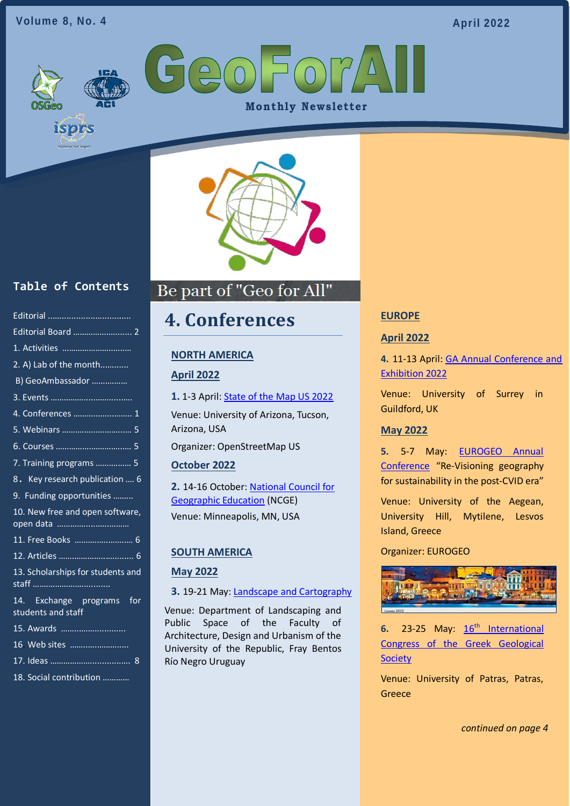### **Volume 8, No. 4**

**April 2022**

GeoForA **Monthly Newsletter** 



## **Table of Contents**

isprs

| Editorial Board  2                              |
|-------------------------------------------------|
| 1. Activities                                   |
| 2. A) Lab of the month                          |
| B) GeoAmbassador                                |
|                                                 |
|                                                 |
|                                                 |
|                                                 |
| 7. Training programs  5                         |
| 8. Key research publication  6                  |
| 9. Funding opportunities                        |
| 10. New free and open software,                 |
|                                                 |
|                                                 |
| 13. Scholarships for students and               |
| 14. Exchange programs for<br>students and staff |
| 15. Awards                                      |
| 16 Web sites                                    |
| 8                                               |

18. Social contribution …………

## Be part of "Geo for All" Ī

## <span id="page-0-0"></span>**4. Conferences**

### **NORTH AMERICA**

### **April 2022**

**1.** 1-3 April: [State of the Map US 2022](https://2022.stateofthemap.us/)

Venue: University of Arizona, Tucson, Arizona, USA

Organizer: OpenStreetMap US

### **October 2022**

**2.** 14-16 October: [National Council for](https://ncge.org/)  [Geographic Education](https://ncge.org/) (NCGE) Venue: Minneapolis, MN, USA

### **SOUTH AMERICA**

#### **May 2022**

### **3.** 19-21 May: [Landscape and Cartography](https://www.ombues.edu.uy/paisajeycartografia/)

Venue: Department of Landscaping and Public Space of the Faculty of Architecture, Design and Urbanism of the University of the Republic, Fray Bentos Río Negro Uruguay

#### **EUROPE**

#### **April 2022**

**4.** 11-13 April: [GA Annual Conference and](https://www.geography.org.uk/events/ga-annual-conference-and-exhibition-2022/13445?OccId=18453)  [Exhibition 2022](https://www.geography.org.uk/events/ga-annual-conference-and-exhibition-2022/13445?OccId=18453)

Venue: University of Surrey in Guildford, UK

#### **May 2022**

**5.** 5-7 May: [EUROGEO Annual](https://www.eurogeography.eu/conferences/lesvos-2022/)  [Conference](https://www.eurogeography.eu/conferences/lesvos-2022/) "Re-Visioning geography for sustainability in the post-CVID era"

Venue: University of the Aegean, University Hill, Mytilene, Lesvos Island, Greece

#### Organizer: EUROGEO



**6.** 23-25 May:  $16^{th}$  $16^{th}$  $16^{th}$  $16^{th}$  International [Congress of the Greek Geological](https://gsg2022.gr/)  **[Society](https://gsg2022.gr/)** 

Venue: University of Patras, Patras, Greece

*continued on page 4*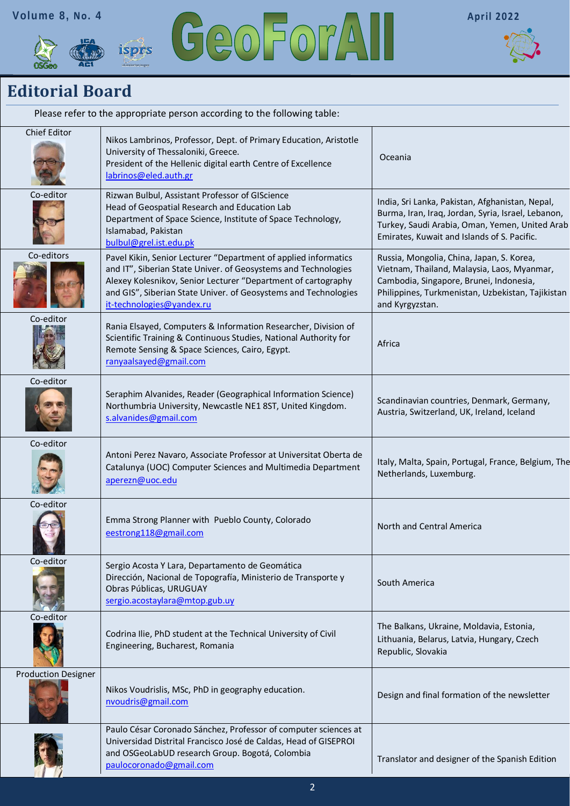





## <span id="page-1-0"></span>**Editorial Board**

| Please refer to the appropriate person according to the following table: |                                                                                                                                                                                                                                                                                                    |                                                                                                                                                                                                             |  |
|--------------------------------------------------------------------------|----------------------------------------------------------------------------------------------------------------------------------------------------------------------------------------------------------------------------------------------------------------------------------------------------|-------------------------------------------------------------------------------------------------------------------------------------------------------------------------------------------------------------|--|
| Chief Editor                                                             | Nikos Lambrinos, Professor, Dept. of Primary Education, Aristotle<br>University of Thessaloniki, Greece.<br>President of the Hellenic digital earth Centre of Excellence<br>labrinos@eled.auth.gr                                                                                                  | Oceania                                                                                                                                                                                                     |  |
| Co-editor                                                                | Rizwan Bulbul, Assistant Professor of GIScience<br>Head of Geospatial Research and Education Lab<br>Department of Space Science, Institute of Space Technology,<br>Islamabad, Pakistan<br>bulbul@grel.ist.edu.pk                                                                                   | India, Sri Lanka, Pakistan, Afghanistan, Nepal,<br>Burma, Iran, Iraq, Jordan, Syria, Israel, Lebanon,<br>Turkey, Saudi Arabia, Oman, Yemen, United Arab<br>Emirates, Kuwait and Islands of S. Pacific.      |  |
| Co-editors                                                               | Pavel Kikin, Senior Lecturer "Department of applied informatics<br>and IT", Siberian State Univer. of Geosystems and Technologies<br>Alexey Kolesnikov, Senior Lecturer "Department of cartography<br>and GIS", Siberian State Univer. of Geosystems and Technologies<br>it-technologies@yandex.ru | Russia, Mongolia, China, Japan, S. Korea,<br>Vietnam, Thailand, Malaysia, Laos, Myanmar,<br>Cambodia, Singapore, Brunei, Indonesia,<br>Philippines, Turkmenistan, Uzbekistan, Tajikistan<br>and Kyrgyzstan. |  |
| Co-editor                                                                | Rania Elsayed, Computers & Information Researcher, Division of<br>Scientific Training & Continuous Studies, National Authority for<br>Remote Sensing & Space Sciences, Cairo, Egypt.<br>ranyaalsayed@gmail.com                                                                                     | Africa                                                                                                                                                                                                      |  |
| Co-editor                                                                | Seraphim Alvanides, Reader (Geographical Information Science)<br>Northumbria University, Newcastle NE1 8ST, United Kingdom.<br>s.alvanides@gmail.com                                                                                                                                               | Scandinavian countries, Denmark, Germany,<br>Austria, Switzerland, UK, Ireland, Iceland                                                                                                                     |  |
| Co-editor                                                                | Antoni Perez Navaro, Associate Professor at Universitat Oberta de<br>Catalunya (UOC) Computer Sciences and Multimedia Department<br>aperezn@uoc.edu                                                                                                                                                | Italy, Malta, Spain, Portugal, France, Belgium, The<br>Netherlands, Luxemburg.                                                                                                                              |  |
| Co-editor                                                                | Emma Strong Planner with Pueblo County, Colorado<br>eestrong118@gmail.com                                                                                                                                                                                                                          | North and Central America                                                                                                                                                                                   |  |
| Co-editor                                                                | Sergio Acosta Y Lara, Departamento de Geomática<br>Dirección, Nacional de Topografía, Ministerio de Transporte y<br>Obras Públicas, URUGUAY<br>sergio.acostaylara@mtop.gub.uy                                                                                                                      | South America                                                                                                                                                                                               |  |
| Co-editor                                                                | Codrina Ilie, PhD student at the Technical University of Civil<br>Engineering, Bucharest, Romania                                                                                                                                                                                                  | The Balkans, Ukraine, Moldavia, Estonia,<br>Lithuania, Belarus, Latvia, Hungary, Czech<br>Republic, Slovakia                                                                                                |  |
| <b>Production Designer</b>                                               | Nikos Voudrislis, MSc, PhD in geography education.<br>nvoudris@gmail.com                                                                                                                                                                                                                           | Design and final formation of the newsletter                                                                                                                                                                |  |
|                                                                          | Paulo César Coronado Sánchez, Professor of computer sciences at<br>Universidad Distrital Francisco José de Caldas, Head of GISEPROI<br>and OSGeoLabUD research Group. Bogotá, Colombia<br>paulocoronado@gmail.com                                                                                  | Translator and designer of the Spanish Edition                                                                                                                                                              |  |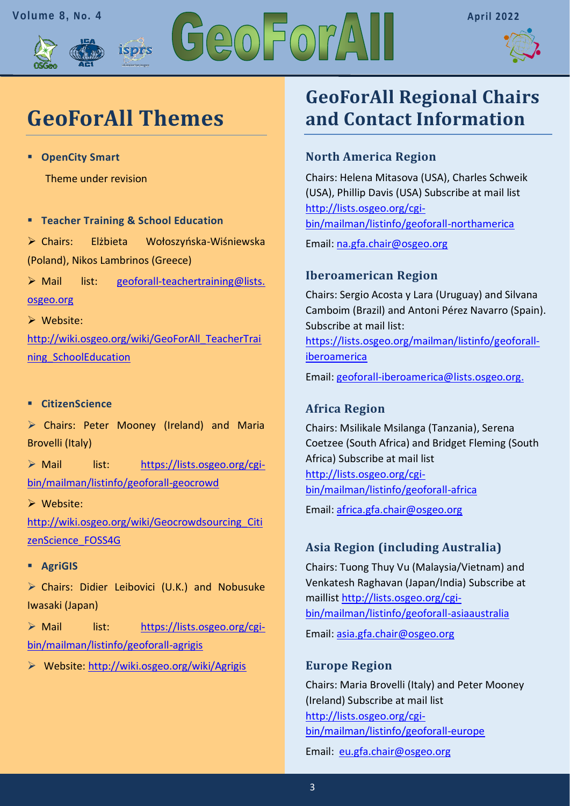





# **GeoForAll Themes**

isprs

▪ **OpenCity Smart** 

Theme under revision

▪ **Teacher Training & School Education** 

➢ Chairs: Elżbieta Wołoszyńska-Wiśniewska (Poland), Nikos Lambrinos (Greece)

➢ Mail list: [geoforall-teachertraining@lists.](mailto:geoforall-teachertraining@lists.osgeo.org)  [osgeo.org](mailto:geoforall-teachertraining@lists.osgeo.org)

➢ Website: [http://wiki.osgeo.org/wiki/GeoForAll\\_TeacherTrai](http://wiki.osgeo.org/wiki/GeoForAll_TeacherTraining_SchoolEducation)

[ning\\_SchoolEducation](http://wiki.osgeo.org/wiki/GeoForAll_TeacherTraining_SchoolEducation)

### ▪ **CitizenScience**

➢ Chairs: Peter Mooney (Ireland) and Maria Brovelli (Italy)

➢ Mail list: [https://lists.osgeo.org/cgi](https://lists.osgeo.org/cgi-bin/mailman/listinfo/geoforall-geocrowd)[bin/mailman/listinfo/geoforall-geocrowd](https://lists.osgeo.org/cgi-bin/mailman/listinfo/geoforall-geocrowd)

➢ Website:

[http://wiki.osgeo.org/wiki/Geocrowdsourcing\\_Citi](http://wiki.osgeo.org/wiki/Geocrowdsourcing_CitizenScience_FOSS4G) [zenScience\\_FOSS4G](http://wiki.osgeo.org/wiki/Geocrowdsourcing_CitizenScience_FOSS4G)

▪ **AgriGIS**

➢ Chairs: Didier Leibovici (U.K.) and Nobusuke Iwasaki (Japan)

➢ Mail list: [https://lists.osgeo.org/cgi](https://lists.osgeo.org/cgi-bin/mailman/listinfo/geoforall-agrigis)[bin/mailman/listinfo/geoforall-agrigis](https://lists.osgeo.org/cgi-bin/mailman/listinfo/geoforall-agrigis)

➢ Website:<http://wiki.osgeo.org/wiki/Agrigis>

## **GeoForAll Regional Chairs and Contact Information**

## **North America Region**

Chairs: Helena Mitasova (USA), Charles Schweik (USA), Phillip Davis (USA) Subscribe at mail list [http://lists.osgeo.org/cgi](http://lists.osgeo.org/cgi-bin/mailman/listinfo/geoforall-northamerica)[bin/mailman/listinfo/geoforall-northamerica](http://lists.osgeo.org/cgi-bin/mailman/listinfo/geoforall-northamerica)

Email: [na.gfa.chair@osgeo.org](mailto:na.gfa.chair@osgeo.org)

## **Iberoamerican Region**

Chairs: Sergio Acosta y Lara (Uruguay) and Silvana Camboim (Brazil) and Antoni Pérez Navarro (Spain). Subscribe at mail list:

[https://lists.osgeo.org/mailman/listinfo/geoforall](https://lists.osgeo.org/mailman/listinfo/geoforall-iberoamerica)[iberoamerica](https://lists.osgeo.org/mailman/listinfo/geoforall-iberoamerica)

Email: [geoforall-iberoamerica@lists.osgeo.org.](mailto:geoforall-iberoamerica@lists.osgeo.org)

## **Africa Region**

Chairs: Msilikale Msilanga (Tanzania), Serena Coetzee (South Africa) and Bridget Fleming (South Africa) Subscribe at mail list [http://lists.osgeo.org/cgi](http://lists.osgeo.org/cgi-bin/mailman/listinfo/geoforall-africa)[bin/mailman/listinfo/geoforall-africa](http://lists.osgeo.org/cgi-bin/mailman/listinfo/geoforall-africa)

Email: [africa.gfa.chair@osgeo.org](mailto:africa.gfa.chair@osgeo.org)

## **Asia Region (including Australia)**

Chairs: Tuong Thuy Vu (Malaysia/Vietnam) and Venkatesh Raghavan (Japan/India) Subscribe at maillist [http://lists.osgeo.org/cgi](http://lists.osgeo.org/cgi-bin/mailman/listinfo/geoforall-asiaaustralia)[bin/mailman/listinfo/geoforall-asiaaustralia](http://lists.osgeo.org/cgi-bin/mailman/listinfo/geoforall-asiaaustralia) Email: [asia.gfa.chair@osgeo.org](mailto:asia.gfa.chair@osgeo.org)

### **Europe Region**

Chairs: Maria Brovelli (Italy) and Peter Mooney (Ireland) Subscribe at mail list [http://lists.osgeo.org/cgi](http://lists.osgeo.org/cgi-bin/mailman/listinfo/geoforall-europe)[bin/mailman/listinfo/geoforall-europe](http://lists.osgeo.org/cgi-bin/mailman/listinfo/geoforall-europe)

Email: [eu.gfa.chair@osgeo.org](mailto:eu.gfa.chair@osgeo.org)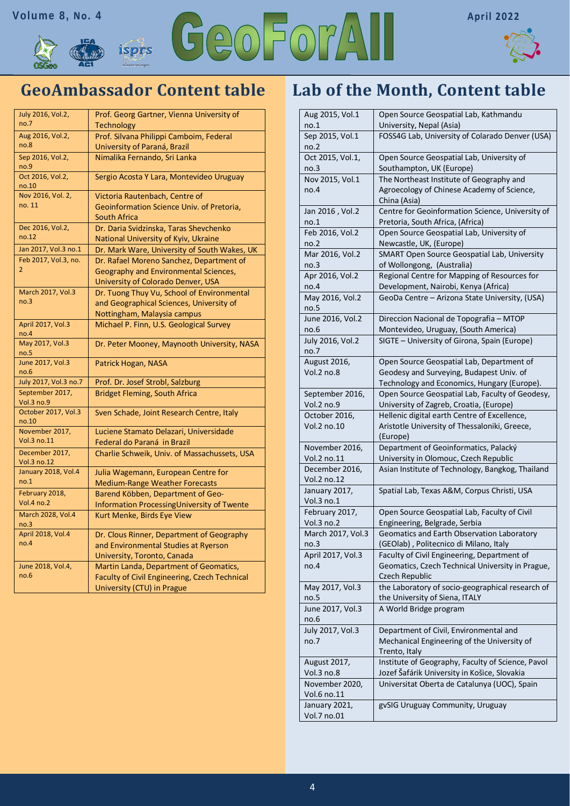



## **GeoAmbassador Content table**

| July 2016, Vol.2,<br>no.7     | Prof. Georg Gartner, Vienna University of<br><b>Technology</b>          |
|-------------------------------|-------------------------------------------------------------------------|
| Aug 2016, Vol.2,              |                                                                         |
| no.8                          | Prof. Silvana Philippi Camboim, Federal<br>University of Paraná, Brazil |
| Sep 2016, Vol.2,              | Nimalika Fernando, Sri Lanka                                            |
| no.9                          |                                                                         |
| Oct 2016, Vol.2,<br>no.10     | Sergio Acosta Y Lara, Montevideo Uruguay                                |
| Nov 2016, Vol. 2,             | Victoria Rautenbach, Centre of                                          |
| no. 11                        | Geoinformation Science Univ. of Pretoria,                               |
|                               | <b>South Africa</b>                                                     |
| Dec 2016, Vol.2,              | Dr. Daria Svidzinska, Taras Shevchenko                                  |
| no.12                         | National University of Kyiv, Ukraine                                    |
| Jan 2017, Vol.3 no.1          | Dr. Mark Ware, University of South Wakes, UK                            |
| Feb 2017, Vol.3, no.          | Dr. Rafael Moreno Sanchez, Department of                                |
| $\overline{2}$                | Geography and Environmental Sciences,                                   |
|                               | University of Colorado Denver, USA                                      |
| March 2017, Vol.3             | Dr. Tuong Thuy Vu, School of Environmental                              |
| no.3                          | and Geographical Sciences, University of                                |
|                               | Nottingham, Malaysia campus                                             |
| April 2017, Vol.3<br>no.4     | Michael P. Finn, U.S. Geological Survey                                 |
| May 2017, Vol.3<br>no.5       | Dr. Peter Mooney, Maynooth University, NASA                             |
| June 2017, Vol.3<br>no.6      | Patrick Hogan, NASA                                                     |
| July 2017, Vol.3 no.7         | Prof. Dr. Josef Strobl, Salzburg                                        |
| September 2017,<br>Vol.3 no.9 | <b>Bridget Fleming, South Africa</b>                                    |
| October 2017, Vol.3<br>no.10  | Sven Schade, Joint Research Centre, Italy                               |
| November 2017,                | Luciene Stamato Delazari, Universidade                                  |
| Vol.3 no.11                   | Federal do Paraná in Brazil                                             |
| December 2017,<br>Vol.3 no.12 | Charlie Schweik, Univ. of Massachussets, USA                            |
| January 2018, Vol.4           | Julia Wagemann, European Centre for                                     |
| no.1                          | <b>Medium-Range Weather Forecasts</b>                                   |
| February 2018,                | Barend Köbben, Department of Geo-                                       |
| <b>Vol.4 no.2</b>             | Information Processing University of Twente                             |
| March 2028, Vol.4<br>no.3     | Kurt Menke, Birds Eye View                                              |
| April 2018, Vol.4             | Dr. Clous Rinner, Department of Geography                               |
| no.4                          | and Environmental Studies at Ryerson                                    |
|                               | University, Toronto, Canada                                             |
| June 2018, Vol.4,             | Martin Landa, Department of Geomatics,                                  |
| no.6                          | Faculty of Civil Engineering, Czech Technical                           |
|                               | University (CTU) in Prague                                              |

## **Lab of the Month, Content table**

| Aug 2015, Vol.1              | Open Source Geospatial Lab, Kathmandu                                                         |
|------------------------------|-----------------------------------------------------------------------------------------------|
| no.1                         | University, Nepal (Asia)                                                                      |
| Sep 2015, Vol.1              | FOSS4G Lab, University of Colarado Denver (USA)                                               |
| no.2                         |                                                                                               |
| Oct 2015, Vol.1,             | Open Source Geospatial Lab, University of                                                     |
| no.3                         | Southampton, UK (Europe)                                                                      |
| Nov 2015, Vol.1              | The Northeast Institute of Geography and                                                      |
| no.4                         | Agroecology of Chinese Academy of Science,                                                    |
|                              | China (Asia)                                                                                  |
| Jan 2016, Vol.2              | Centre for Geoinformation Science, University of                                              |
| no.1                         | Pretoria, South Africa, (Africa)                                                              |
| Feb 2016, Vol.2              | Open Source Geospatial Lab, University of                                                     |
| no.2                         | Newcastle, UK, (Europe)                                                                       |
| Mar 2016, Vol.2              | SMART Open Source Geospatial Lab, University                                                  |
| no.3                         | of Wollongong, (Australia)                                                                    |
| Apr 2016, Vol.2              | Regional Centre for Mapping of Resources for                                                  |
| no.4                         | Development, Nairobi, Kenya (Africa)                                                          |
| May 2016, Vol.2              | GeoDa Centre - Arizona State University, (USA)                                                |
| no.5                         |                                                                                               |
| June 2016, Vol.2             | Direccion Nacional de Topografia - MTOP                                                       |
| no.6                         | Montevideo, Uruguay, (South America)                                                          |
| July 2016, Vol.2             | SIGTE - University of Girona, Spain (Europe)                                                  |
| no.7                         |                                                                                               |
| August 2016,                 | Open Source Geospatial Lab, Department of                                                     |
| Vol.2 no.8                   | Geodesy and Surveying, Budapest Univ. of                                                      |
|                              | Technology and Economics, Hungary (Europe).                                                   |
| September 2016,              | Open Source Geospatial Lab, Faculty of Geodesy,                                               |
| Vol.2 no.9                   | University of Zagreb, Croatia, (Europe)                                                       |
| October 2016,<br>Vol.2 no.10 | Hellenic digital earth Centre of Excellence,<br>Aristotle University of Thessaloniki, Greece, |
|                              | (Europe)                                                                                      |
| November 2016,               | Department of Geoinformatics, Palacký                                                         |
| Vol.2 no.11                  | University in Olomouc, Czech Republic                                                         |
| December 2016,               | Asian Institute of Technology, Bangkog, Thailand                                              |
| Vol.2 no.12                  |                                                                                               |
| January 2017,                | Spatial Lab, Texas A&M, Corpus Christi, USA                                                   |
| Vol.3 no.1                   |                                                                                               |
| February 2017,               | Open Source Geospatial Lab, Faculty of Civil                                                  |
| Vol.3 no.2                   | Engineering, Belgrade, Serbia                                                                 |
| March 2017, Vol.3            | Geomatics and Earth Observation Laboratory                                                    |
| no.3                         | (GEOlab), Politecnico di Milano, Italy                                                        |
| April 2017, Vol.3            | Faculty of Civil Engineering, Department of                                                   |
| no.4                         | Geomatics, Czech Technical University in Prague,                                              |
|                              | Czech Republic                                                                                |
| May 2017, Vol.3              | the Laboratory of socio-geographical research of                                              |
| no.5                         | the University of Siena, ITALY                                                                |
| June 2017, Vol.3             | A World Bridge program                                                                        |
| no.6                         |                                                                                               |
| July 2017, Vol.3             | Department of Civil, Environmental and                                                        |
| no.7                         | Mechanical Engineering of the University of                                                   |
|                              | Trento, Italy                                                                                 |
| August 2017,                 | Institute of Geography, Faculty of Science, Pavol                                             |
| Vol.3 no.8                   | Jozef Šafárik University in Košice, Slovakia                                                  |
| November 2020,               | Universitat Oberta de Catalunya (UOC), Spain                                                  |
| Vol.6 no.11                  |                                                                                               |
| January 2021,                | gvSIG Uruguay Community, Uruguay                                                              |
| Vol.7 no.01                  |                                                                                               |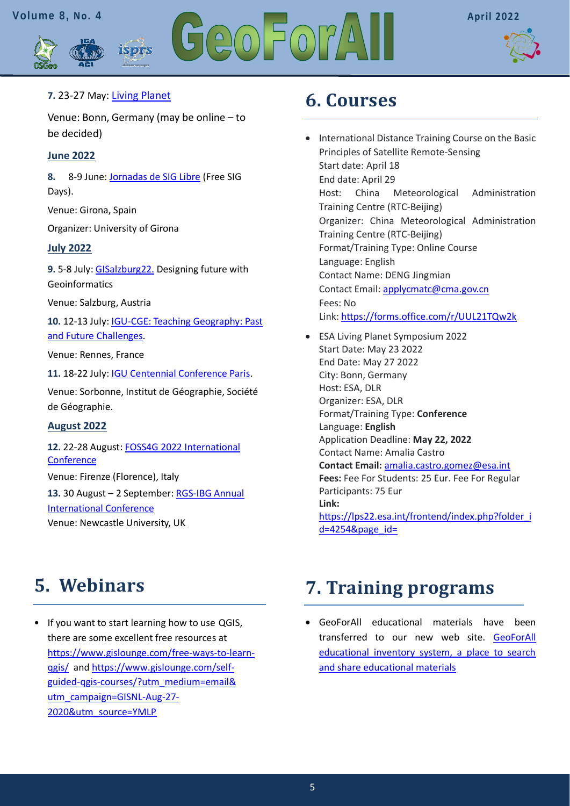



### **7.** 23-27 May: [Living](https://lps22.esa.int/frontend/index.php?folder_id=4254&page_id=) [Planet](https://lps22.esa.int/frontend/index.php?folder_id=4254&page_id=)

Venue: Bonn, Germany (may be online – to be decided)

isprs

### **June 2022**

**8.** 8-9 June: [Jornadas de SIG Libre](https://www.jornadassiglibre.org/) (Free SIG Days).

Venue: Girona, Spain

Organizer: University of Girona

### **July 2022**

**9.** 5-8 July: [GISalzburg22.](https://gi-salzburg.org/en/) Designing future with Geoinformatics

Venue: Salzburg, Austria

**10.** 12-13 July[: IGU-CGE: Teaching Geography: Past](https://ugicge.sciencesconf.org/)  [and Future Challenges.](https://ugicge.sciencesconf.org/)

Venue: Rennes, France

**11.** 18-22 July[: IGU Centennial Conference Paris.](https://www.ugiparis2022.org/index.php?langue=en&onglet=4&acces=&idUser=&emailUser=)

Venue: Sorbonne, Institut de Géographie, Société de Géographie.

### **August 2022**

**12.** 22-28 August: [FOSS4G](https://2022.foss4g.org/) 2022 [International](https://2022.foss4g.org/)  **[Conference](https://2022.foss4g.org/)** Venue: Firenze (Florence), Italy

**13.** 30 August – 2 September: [RGS-IBG Annual](https://www.rgs.org/research/annual-international-conference/call/)  [International Conference](https://www.rgs.org/research/annual-international-conference/call/) Venue: Newcastle University, UK

## <span id="page-4-1"></span>**6. Courses**

- International Distance Training Course on the Basic Principles of Satellite Remote-Sensing Start date: April 18 End date: April 29 Host: China Meteorological Administration Training Centre (RTC-Beijing) Organizer: China Meteorological Administration Training Centre (RTC-Beijing) Format/Training Type: Online Course Language: English Contact Name: DENG Jingmian Contact Email: [applycmatc@cma.gov.cn](mailto:applycmatc@cma.gov.cn?subject=) Fees: No Link: <https://forms.office.com/r/UUL21TQw2k>
- ESA Living Planet Symposium 2022 Start Date: May 23 2022 End Date: May 27 2022 City: Bonn, Germany Host: ESA, DLR Organizer: ESA, DLR Format/Training Type: **Conference** Language: **English** Application Deadline: **May 22, 2022** Contact Name: Amalia Castro **Contact Email:** [amalia.castro.gomez@esa.int](mailto:amalia.castro.gomez@esa.int?subject=) **Fees:** Fee For Students: 25 Eur. Fee For Regular Participants: 75 Eur **Link:**  [https://lps22.esa.int/frontend/index.php?folder\\_i](https://lps22.esa.int/frontend/index.php?folder_id=4254&page_id=)  $d=42548$ page  $id=$

## <span id="page-4-0"></span>**5. Webinars**

• If you want to start learning how to use QGIS, there are some excellent free resources at [https://www.gislounge.com/free-ways-to-learn](https://www.gislounge.com/free-ways-to-learn-qgis/)[qgis/](https://www.gislounge.com/free-ways-to-learn-qgis/) and [https://www.gislounge.com/self](https://www.gislounge.com/self-guided-qgis-courses/?utm_medium=email&%20utm_campaign=GISNL-Aug-27-2020&utm_source=YMLP)[guided-qgis-courses/?utm\\_medium=email&](https://www.gislounge.com/self-guided-qgis-courses/?utm_medium=email&%20utm_campaign=GISNL-Aug-27-2020&utm_source=YMLP)  [utm\\_campaign=GISNL-Aug-27-](https://www.gislounge.com/self-guided-qgis-courses/?utm_medium=email&%20utm_campaign=GISNL-Aug-27-2020&utm_source=YMLP) [2020&utm\\_source=YMLP](https://www.gislounge.com/self-guided-qgis-courses/?utm_medium=email&%20utm_campaign=GISNL-Aug-27-2020&utm_source=YMLP)

## <span id="page-4-2"></span>**[7. Training programs](#page-4-2)**

• GeoForAll educational materials have been transferred to our new web site. [GeoForAll](https://www.osgeo.org/resources/)  [educational inventory system, a place to search](https://www.osgeo.org/resources/)  [and share educational materials](https://www.osgeo.org/resources/)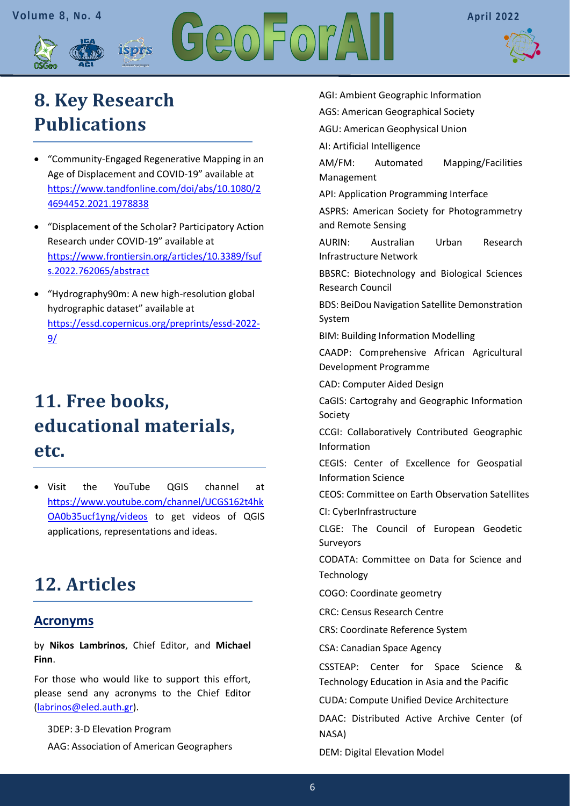



# <span id="page-5-0"></span>**[8. Key Research](#page-5-0)  [Publications](#page-5-0)**

• "Community-Engaged Regenerative Mapping in an Age of Displacement and COVID-19" available at [https://www.tandfonline.com/doi/abs/10.1080/2](https://www.tandfonline.com/doi/abs/10.1080/24694452.2021.1978838) [4694452.2021.1978838](https://www.tandfonline.com/doi/abs/10.1080/24694452.2021.1978838)

isprs

- "Displacement of the Scholar? Participatory Action Research under COVID-19" available at [https://www.frontiersin.org/articles/10.3389/fsuf](https://www.frontiersin.org/articles/10.3389/fsufs.2022.762065/abstract) [s.2022.762065/abstract](https://www.frontiersin.org/articles/10.3389/fsufs.2022.762065/abstract)
- "Hydrography90m: A new high-resolution global hydrographic dataset" available at [https://essd.copernicus.org/preprints/essd-2022-](https://essd.copernicus.org/preprints/essd-2022-9/) [9/](https://essd.copernicus.org/preprints/essd-2022-9/)

# <span id="page-5-1"></span>**11. Free books, educational materials, etc.**

• Visit the YouTube QGIS channel at [https://www.youtube.com/channel/UCGS162t4hk](https://www.youtube.com/channel/UCGS162t4hkOA0b35ucf1yng/videos) [OA0b35ucf1yng/videos](https://www.youtube.com/channel/UCGS162t4hkOA0b35ucf1yng/videos) to get videos of QGIS applications, representations and ideas.

## <span id="page-5-2"></span>**12. Articles**

## **Acronyms**

by **Nikos Lambrinos**, Chief Editor, and **Michael Finn**.

For those who would like to support this effort, please send any acronyms to the Chief Editor [\(labrinos@eled.auth.gr\)](mailto:labrinos@eled.auth.gr).

3DEP: 3-D Elevation Program

AAG: Association of American Geographers

AGI: Ambient Geographic Information

AGS: American Geographical Society

AGU: American Geophysical Union

AI: Artificial Intelligence

AM/FM: Automated Mapping/Facilities Management

API: Application Programming Interface

ASPRS: American Society for Photogrammetry and Remote Sensing

AURIN: Australian Urban Research Infrastructure Network

BBSRC: Biotechnology and Biological Sciences Research Council

BDS: BeiDou Navigation Satellite Demonstration System

BIM: Building Information Modelling

CAADP: Comprehensive African Agricultural Development Programme

CAD: Computer Aided Design

CaGIS: Cartograhy and Geographic Information Society

CCGI: Collaboratively Contributed Geographic Information

CEGIS: Center of Excellence for Geospatial Information Science

CEOS: Committee on Earth Observation Satellites

CI: CyberInfrastructure

CLGE: The Council of European Geodetic Surveyors

CODATA: Committee on Data for Science and Technology

COGO: Coordinate geometry

CRC: Census Research Centre

CRS: Coordinate Reference System

CSA: Canadian Space Agency

CSSTEAP: Center for Space Science & Technology Education in Asia and the Pacific

CUDA: Compute Unified Device Architecture

DAAC: Distributed Active Archive Center (of NASA)

DEM: Digital Elevation Model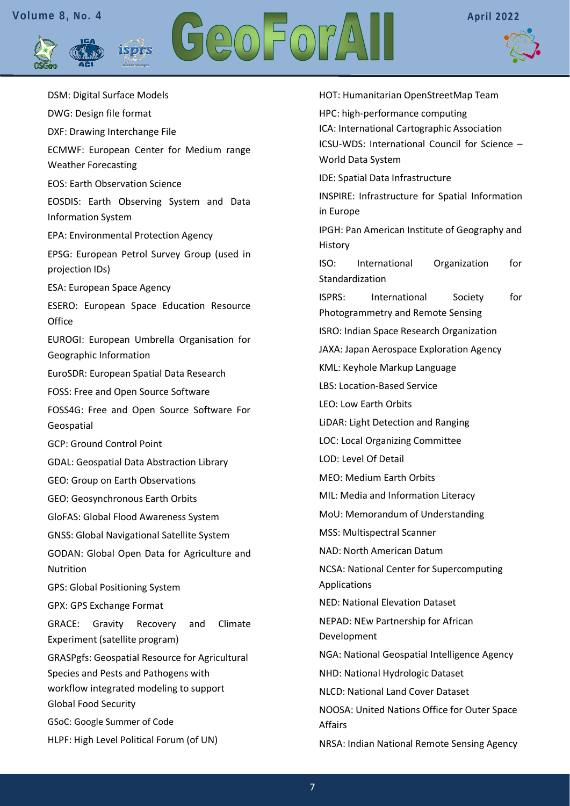**isprs** 





DSM: Digital Surface Models DWG: Design file format DXF: Drawing Interchange File ECMWF: European Center for Medium range Weather Forecasting EOS: Earth Observation Science EOSDIS: Earth Observing System and Data Information System EPA: Environmental Protection Agency EPSG: European Petrol Survey Group (used in projection IDs) ESA: European Space Agency ESERO: European Space Education Resource **Office** EUROGI: European Umbrella Organisation for Geographic Information EuroSDR: European Spatial Data Research FOSS: Free and Open Source Software FOSS4G: Free and Open Source Software For Geospatial GCP: Ground Control Point GDAL: Geospatial Data Abstraction Library GEO: Group on Earth Observations GEO: Geosynchronous Earth Orbits GloFAS: Global Flood Awareness System GNSS: Global Navigational Satellite System GODAN: Global Open Data for Agriculture and Nutrition GPS: Global Positioning System GPX: GPS Exchange Format GRACE: Gravity Recovery and Climate Experiment (satellite program) GRASPgfs: Geospatial Resource for Agricultural Species and Pests and Pathogens with workflow integrated modeling to support Global Food Security GSoC: Google Summer of Code HLPF: High Level Political Forum (of UN)

HOT: Humanitarian OpenStreetMap Team HPC: high-performance computing ICA: International Cartographic Association ICSU-WDS: International Council for Science – World Data System IDE: Spatial Data Infrastructure INSPIRE: Infrastructure for Spatial Information in Europe IPGH: Pan American Institute of Geography and History ISO: International Organization for Standardization ISPRS: International Society for Photogrammetry and Remote Sensing ISRO: Indian Space Research Organization JAXA: Japan Aerospace Exploration Agency KML: Keyhole Markup Language LBS: Location-Based Service LEO: Low Earth Orbits LiDAR: Light Detection and Ranging LOC: Local Organizing Committee LOD: Level Of Detail MEO: Medium Earth Orbits MIL: Media and Information Literacy MoU: Memorandum of Understanding MSS: Multispectral Scanner NAD: North American Datum NCSA: National Center for Supercomputing Applications NED: National Elevation Dataset NEPAD: NEw Partnership for African Development NGA: National Geospatial Intelligence Agency NHD: National Hydrologic Dataset NLCD: National Land Cover Dataset NOOSA: United Nations Office for Outer Space Affairs NRSA: Indian National Remote Sensing Agency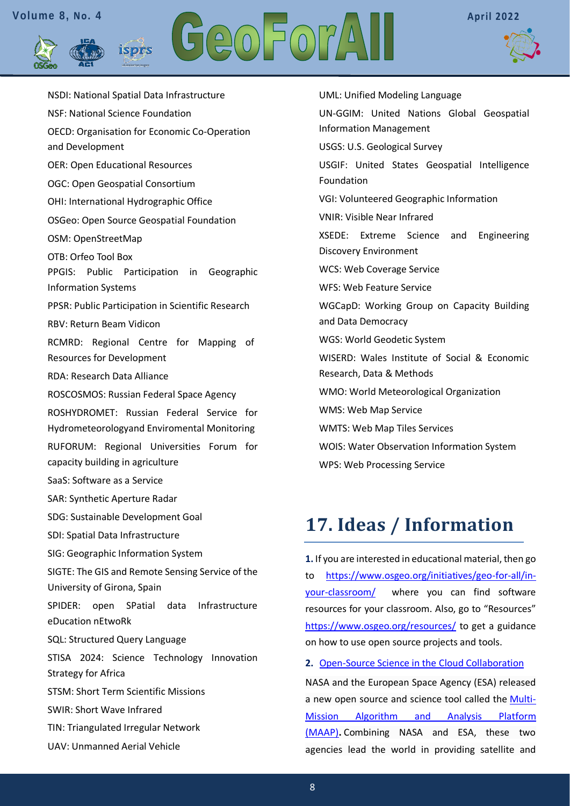isprs



NSDI: National Spatial Data Infrastructure NSF: National Science Foundation OECD: Organisation for Economic Co-Operation and Development OER: Open Educational Resources OGC: Open Geospatial Consortium OHI: International Hydrographic Office OSGeo: Open Source Geospatial Foundation OSM: OpenStreetMap OTB: Orfeo Tool Box PPGIS: Public Participation in Geographic Information Systems PPSR: Public Participation in Scientific Research RBV: Return Beam Vidicon RCMRD: Regional Centre for Mapping of Resources for Development RDA: Research Data Alliance ROSCOSMOS: Russian Federal Space Agency ROSHYDROMET: Russian Federal Service for Hydrometeorologyand Enviromental Monitoring RUFORUM: Regional Universities Forum for capacity building in agriculture SaaS: Software as a Service SAR: Synthetic Aperture Radar SDG: Sustainable Development Goal SDI: Spatial Data Infrastructure SIG: Geographic Information System SIGTE: The GIS and Remote Sensing Service of the University of Girona, Spain SPIDER: open SPatial data Infrastructure eDucation nEtwoRk SQL: Structured Query Language STISA 2024: Science Technology Innovation Strategy for Africa STSM: Short Term Scientific Missions SWIR: Short Wave Infrared TIN: Triangulated Irregular Network UAV: Unmanned Aerial Vehicle

UML: Unified Modeling Language UN-GGIM: United Nations Global Geospatial Information Management USGS: U.S. Geological Survey USGIF: United States Geospatial Intelligence Foundation VGI: Volunteered Geographic Information VNIR: Visible Near Infrared XSEDE: Extreme Science and Engineering Discovery Environment WCS: Web Coverage Service WFS: Web Feature Service WGCapD: Working Group on Capacity Building and Data Democracy WGS: World Geodetic System WISERD: Wales Institute of Social & Economic Research, Data & Methods WMO: World Meteorological Organization WMS: Web Map Service WMTS: Web Map Tiles Services WOIS: Water Observation Information System WPS: Web Processing Service

## <span id="page-7-0"></span>**[17. Ideas / Information](#page-7-0)**

**1.** If you are interested in educational material, then go to [https://www.osgeo.org/initiatives/geo-for-all/in](https://www.osgeo.org/initiatives/geo-for-all/in-your-classroom/)[your-classroom/](https://www.osgeo.org/initiatives/geo-for-all/in-your-classroom/) where you can find software resources for your classroom. Also, go to "Resources" <https://www.osgeo.org/resources/> to get a guidance on how to use open source projects and tools.

**2.** [Open-Source Science in the Cloud Collaboration](https://www.gislounge.com/platform-for-analyzing-geospatial-data-in-the-cloud/?utm_medium=email&utm_campaign=GISNL-2022-Jan-27&utm_source=YMLP)

NASA and the European Space Agency (ESA) released a new open source and science tool called the [Multi-](https://scimaap.net/)[Mission Algorithm and Analysis Platform](https://scimaap.net/)  [\(MAAP\)](https://scimaap.net/)**.** Combining NASA and ESA, these two agencies lead the world in providing satellite and